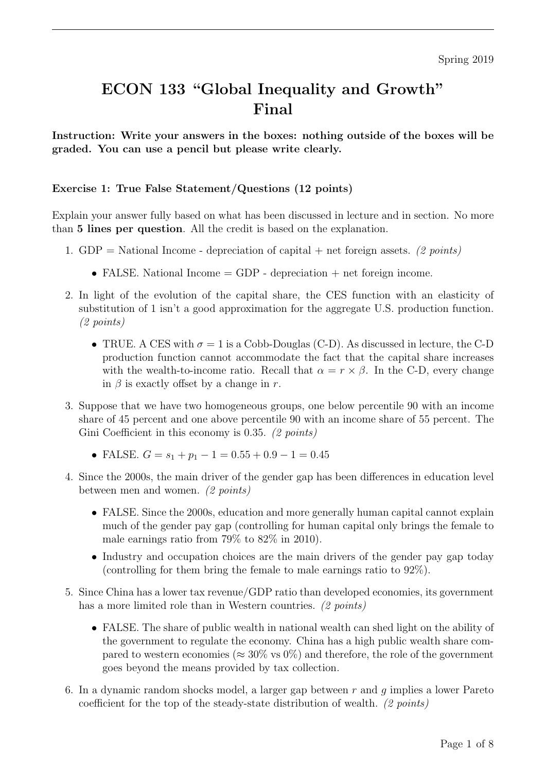# ECON 133 "Global Inequality and Growth" Final

Instruction: Write your answers in the boxes: nothing outside of the boxes will be graded. You can use a pencil but please write clearly.

# Exercise 1: True False Statement/Questions (12 points)

Explain your answer fully based on what has been discussed in lecture and in section. No more than 5 lines per question. All the credit is based on the explanation.

- 1. GDP = National Income depreciation of capital + net foreign assets. (2 points)
	- FALSE. National Income  $=$  GDP depreciation  $+$  net foreign income.
- 2. In light of the evolution of the capital share, the CES function with an elasticity of substitution of 1 isn't a good approximation for the aggregate U.S. production function. (2 points)
	- TRUE. A CES with  $\sigma = 1$  is a Cobb-Douglas (C-D). As discussed in lecture, the C-D production function cannot accommodate the fact that the capital share increases with the wealth-to-income ratio. Recall that  $\alpha = r \times \beta$ . In the C-D, every change in  $\beta$  is exactly offset by a change in r.
- 3. Suppose that we have two homogeneous groups, one below percentile 90 with an income share of 45 percent and one above percentile 90 with an income share of 55 percent. The Gini Coefficient in this economy is 0.35. (2 points)
	- FALSE.  $G = s_1 + p_1 1 = 0.55 + 0.9 1 = 0.45$
- 4. Since the 2000s, the main driver of the gender gap has been differences in education level between men and women. (2 points)
	- FALSE. Since the 2000s, education and more generally human capital cannot explain much of the gender pay gap (controlling for human capital only brings the female to male earnings ratio from 79% to 82% in 2010).
	- Industry and occupation choices are the main drivers of the gender pay gap today (controlling for them bring the female to male earnings ratio to 92%).
- 5. Since China has a lower tax revenue/GDP ratio than developed economies, its government has a more limited role than in Western countries. (2 points)
	- FALSE. The share of public wealth in national wealth can shed light on the ability of the government to regulate the economy. China has a high public wealth share compared to western economies ( $\approx 30\%$  vs 0%) and therefore, the role of the government goes beyond the means provided by tax collection.
- 6. In a dynamic random shocks model, a larger gap between  $r$  and  $q$  implies a lower Pareto coefficient for the top of the steady-state distribution of wealth. (2 points)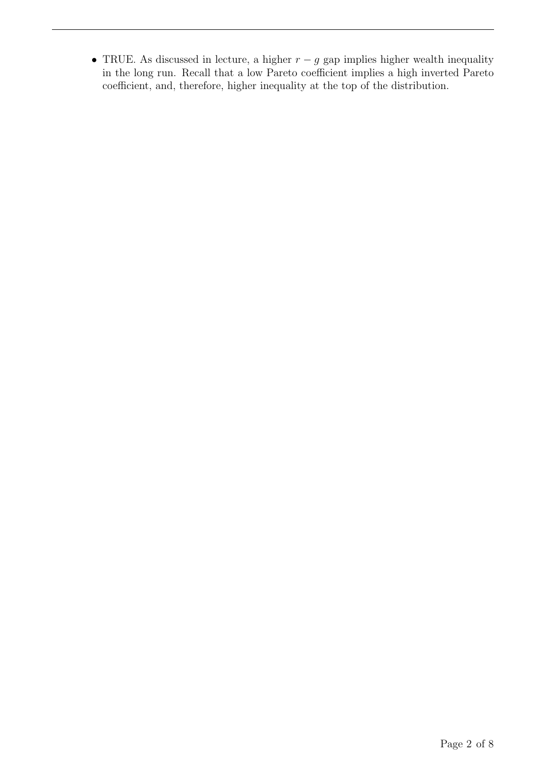• TRUE. As discussed in lecture, a higher  $r - g$  gap implies higher wealth inequality in the long run. Recall that a low Pareto coefficient implies a high inverted Pareto coefficient, and, therefore, higher inequality at the top of the distribution.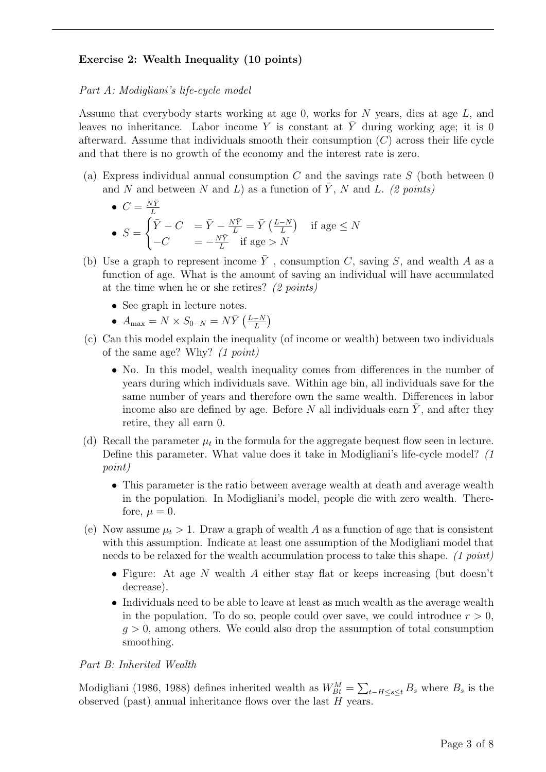# Exercise 2: Wealth Inequality (10 points)

#### Part A: Modigliani's life-cycle model

Assume that everybody starts working at age 0, works for N years, dies at age L, and leaves no inheritance. Labor income Y is constant at  $\overline{Y}$  during working age; it is 0 afterward. Assume that individuals smooth their consumption  $(C)$  across their life cycle and that there is no growth of the economy and the interest rate is zero.

(a) Express individual annual consumption  $C$  and the savings rate  $S$  (both between 0) and N and between N and L) as a function of  $\overline{Y}$ , N and L. (2 points)

• 
$$
C = \frac{N\bar{Y}}{L}
$$
  
\n•  $S = \begin{cases} \bar{Y} - C & = \bar{Y} - \frac{N\bar{Y}}{L} = \bar{Y} \left( \frac{L-N}{L} \right) & \text{if age} \le N \\ -C & = -\frac{N\bar{Y}}{L} & \text{if age} > N \end{cases}$ 

- (b) Use a graph to represent income  $\overline{Y}$ , consumption C, saving S, and wealth A as a function of age. What is the amount of saving an individual will have accumulated at the time when he or she retires? (2 points)
	- See graph in lecture notes.
	- $A_{\text{max}} = N \times S_{0-N} = N \bar{Y} \left( \frac{L-N}{L} \right)$  $\frac{-N}{L}\Big)$
- (c) Can this model explain the inequality (of income or wealth) between two individuals of the same age? Why? (1 point)
	- No. In this model, wealth inequality comes from differences in the number of years during which individuals save. Within age bin, all individuals save for the same number of years and therefore own the same wealth. Differences in labor income also are defined by age. Before  $N$  all individuals earn  $Y$ , and after they retire, they all earn 0.
- (d) Recall the parameter  $\mu_t$  in the formula for the aggregate bequest flow seen in lecture. Define this parameter. What value does it take in Modigliani's life-cycle model? (1 point)
	- This parameter is the ratio between average wealth at death and average wealth in the population. In Modigliani's model, people die with zero wealth. Therefore,  $u = 0$ .
- (e) Now assume  $\mu_t > 1$ . Draw a graph of wealth A as a function of age that is consistent with this assumption. Indicate at least one assumption of the Modigliani model that needs to be relaxed for the wealth accumulation process to take this shape. (1 point)
	- Figure: At age N wealth A either stay flat or keeps increasing (but doesn't decrease).
	- Individuals need to be able to leave at least as much wealth as the average wealth in the population. To do so, people could over save, we could introduce  $r > 0$ ,  $g > 0$ , among others. We could also drop the assumption of total consumption smoothing.

#### Part B: Inherited Wealth

Modigliani (1986, 1988) defines inherited wealth as  $W_{Bt}^M = \sum_{t-H \leq s \leq t} B_s$  where  $B_s$  is the observed (past) annual inheritance flows over the last  $H$  years.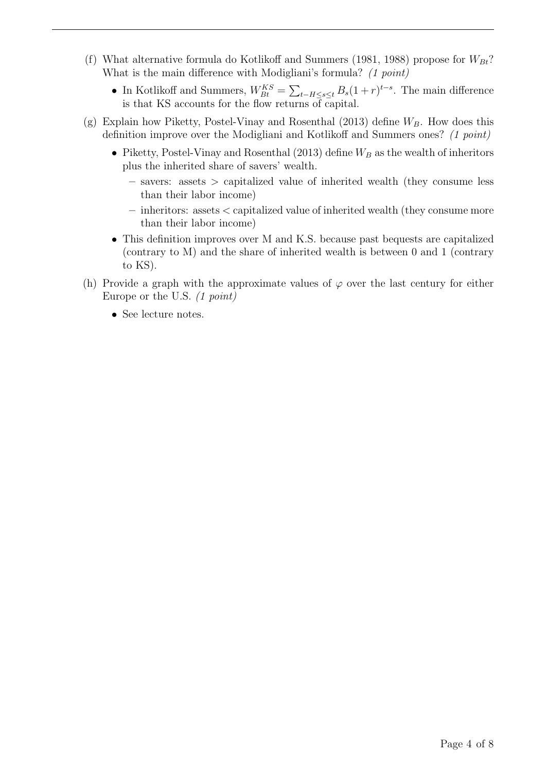- (f) What alternative formula do Kotlikoff and Summers (1981, 1988) propose for  $W_{Bt}$ ? What is the main difference with Modigliani's formula? (1 point)
	- In Kotlikoff and Summers,  $W_{Bt}^{KS} = \sum_{t-H \leq s \leq t} B_s(1+r)^{t-s}$ . The main difference is that KS accounts for the flow returns of capital.
- (g) Explain how Piketty, Postel-Vinay and Rosenthal (2013) define  $W_B$ . How does this definition improve over the Modigliani and Kotlikoff and Summers ones? (1 point)
	- Piketty, Postel-Vinay and Rosenthal (2013) define  $W_B$  as the wealth of inheritors plus the inherited share of savers' wealth.
		- savers: assets > capitalized value of inherited wealth (they consume less than their labor income)
		- inheritors: assets < capitalized value of inherited wealth (they consume more than their labor income)
	- This definition improves over M and K.S. because past bequests are capitalized (contrary to M) and the share of inherited wealth is between 0 and 1 (contrary to KS).
- (h) Provide a graph with the approximate values of  $\varphi$  over the last century for either Europe or the U.S. (1 point)
	- See lecture notes.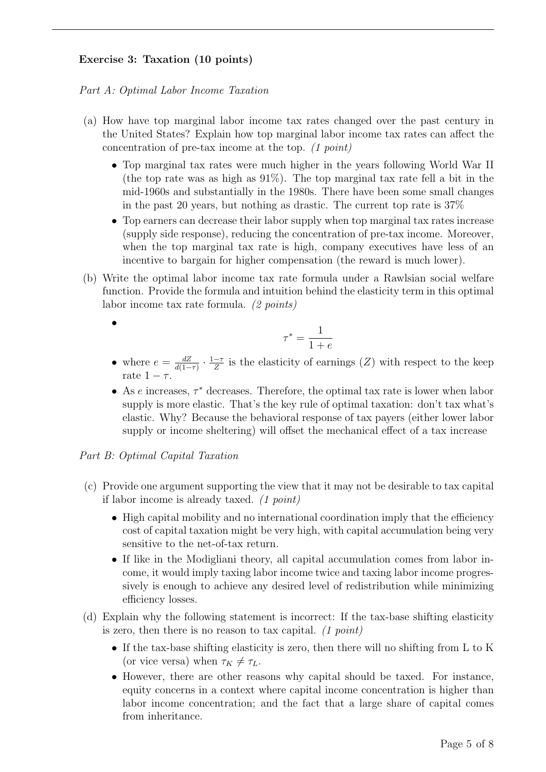# Exercise 3: Taxation (10 points)

Part A: Optimal Labor Income Taxation

- (a) How have top marginal labor income tax rates changed over the past century in the United States? Explain how top marginal labor income tax rates can affect the concentration of pre-tax income at the top. (1 point)
	- Top marginal tax rates were much higher in the years following World War II (the top rate was as high as 91%). The top marginal tax rate fell a bit in the mid-1960s and substantially in the 1980s. There have been some small changes in the past 20 years, but nothing as drastic. The current top rate is  $37\%$
	- Top earners can decrease their labor supply when top marginal tax rates increase (supply side response), reducing the concentration of pre-tax income. Moreover, when the top marginal tax rate is high, company executives have less of an incentive to bargain for higher compensation (the reward is much lower).
- (b) Write the optimal labor income tax rate formula under a Rawlsian social welfare function. Provide the formula and intuition behind the elasticity term in this optimal labor income tax rate formula. (2 points)
	- •

$$
\tau^* = \frac{1}{1+e}
$$

- where  $e = \frac{dZ}{d(1 z)}$  $\frac{dZ}{d(1-\tau)} \cdot \frac{1-\tau}{Z}$  $\frac{-\tau}{Z}$  is the elasticity of earnings  $(Z)$  with respect to the keep rate  $1 - \tau$ .
- As  $e$  increases,  $\tau^*$  decreases. Therefore, the optimal tax rate is lower when labor supply is more elastic. That's the key rule of optimal taxation: don't tax what's elastic. Why? Because the behavioral response of tax payers (either lower labor supply or income sheltering) will offset the mechanical effect of a tax increase

#### Part B: Optimal Capital Taxation

- (c) Provide one argument supporting the view that it may not be desirable to tax capital if labor income is already taxed. (1 point)
	- High capital mobility and no international coordination imply that the efficiency cost of capital taxation might be very high, with capital accumulation being very sensitive to the net-of-tax return.
	- If like in the Modigliani theory, all capital accumulation comes from labor income, it would imply taxing labor income twice and taxing labor income progressively is enough to achieve any desired level of redistribution while minimizing efficiency losses.
- (d) Explain why the following statement is incorrect: If the tax-base shifting elasticity is zero, then there is no reason to tax capital.  $(1 point)$ 
	- If the tax-base shifting elasticity is zero, then there will no shifting from L to K (or vice versa) when  $\tau_K \neq \tau_L$ .
	- However, there are other reasons why capital should be taxed. For instance, equity concerns in a context where capital income concentration is higher than labor income concentration; and the fact that a large share of capital comes from inheritance.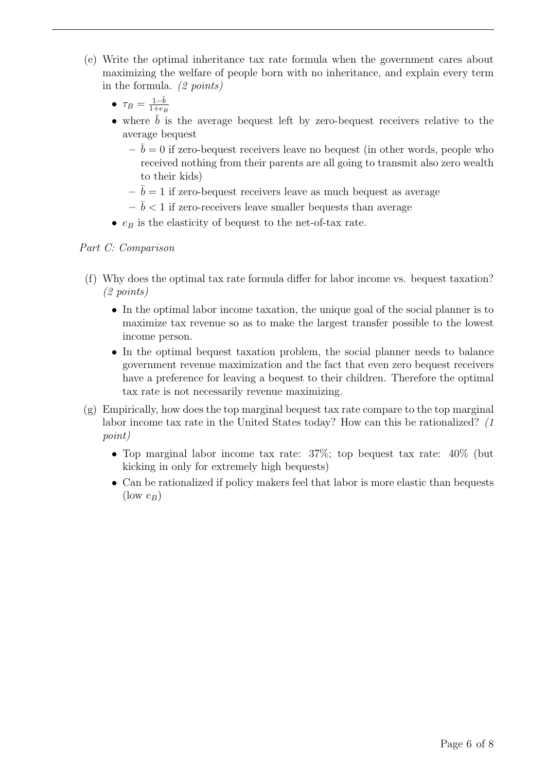- (e) Write the optimal inheritance tax rate formula when the government cares about maximizing the welfare of people born with no inheritance, and explain every term in the formula. (2 points)
	- $\tau_B = \frac{1-\bar{b}}{1+e_B}$  $_{1+e_B}$
	- where  $b$  is the average bequest left by zero-bequest receivers relative to the average bequest
		- $-\bar{b} = 0$  if zero-bequest receivers leave no bequest (in other words, people who received nothing from their parents are all going to transmit also zero wealth to their kids)
		- $\bar{b} = 1$  if zero-bequest receivers leave as much bequest as average
		- $-\bar{b}$  < 1 if zero-receivers leave smaller bequests than average
	- $e_B$  is the elasticity of bequest to the net-of-tax rate.

# Part C: Comparison

- (f) Why does the optimal tax rate formula differ for labor income vs. bequest taxation? (2 points)
	- In the optimal labor income taxation, the unique goal of the social planner is to maximize tax revenue so as to make the largest transfer possible to the lowest income person.
	- In the optimal bequest taxation problem, the social planner needs to balance government revenue maximization and the fact that even zero bequest receivers have a preference for leaving a bequest to their children. Therefore the optimal tax rate is not necessarily revenue maximizing.
- $(g)$  Empirically, how does the top marginal bequest tax rate compare to the top marginal labor income tax rate in the United States today? How can this be rationalized? (1 point)
	- Top marginal labor income tax rate: 37%; top bequest tax rate: 40% (but kicking in only for extremely high bequests)
	- Can be rationalized if policy makers feel that labor is more elastic than bequests  $(\text{low }e_B)$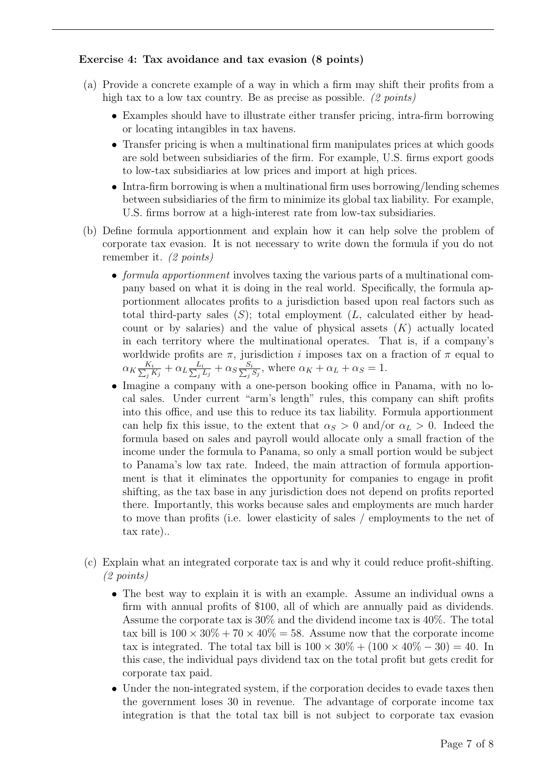# Exercise 4: Tax avoidance and tax evasion (8 points)

- (a) Provide a concrete example of a way in which a firm may shift their profits from a high tax to a low tax country. Be as precise as possible. (2 points)
	- Examples should have to illustrate either transfer pricing, intra-firm borrowing or locating intangibles in tax havens.
	- Transfer pricing is when a multinational firm manipulates prices at which goods are sold between subsidiaries of the firm. For example, U.S. firms export goods to low-tax subsidiaries at low prices and import at high prices.
	- Intra-firm borrowing is when a multinational firm uses borrowing/lending schemes between subsidiaries of the firm to minimize its global tax liability. For example, U.S. firms borrow at a high-interest rate from low-tax subsidiaries.
- (b) Define formula apportionment and explain how it can help solve the problem of corporate tax evasion. It is not necessary to write down the formula if you do not remember it. (2 points)
	- formula apportionment involves taxing the various parts of a multinational company based on what it is doing in the real world. Specifically, the formula apportionment allocates profits to a jurisdiction based upon real factors such as total third-party sales  $(S)$ ; total employment  $(L,$  calculated either by headcount or by salaries) and the value of physical assets  $(K)$  actually located in each territory where the multinational operates. That is, if a company's worldwide profits are  $\pi$ , jurisdiction *i* imposes tax on a fraction of  $\pi$  equal to  $\alpha_K \frac{K_i}{\sum_i l}$  $\frac{K_i}{j\,K_j} + \alpha_L \frac{L_i}{\sum_j \alpha_i}$  $\frac{L_i}{\frac{j}{L_j}L_j}+\alpha_S\frac{S_i}{\sum_j}$  $\frac{S_i}{i} S_j$ , where  $\alpha_K + \alpha_L + \alpha_S = 1$ .
	- Imagine a company with a one-person booking office in Panama, with no local sales. Under current "arm's length" rules, this company can shift profits into this office, and use this to reduce its tax liability. Formula apportionment can help fix this issue, to the extent that  $\alpha_S > 0$  and/or  $\alpha_L > 0$ . Indeed the formula based on sales and payroll would allocate only a small fraction of the income under the formula to Panama, so only a small portion would be subject to Panama's low tax rate. Indeed, the main attraction of formula apportionment is that it eliminates the opportunity for companies to engage in profit shifting, as the tax base in any jurisdiction does not depend on profits reported there. Importantly, this works because sales and employments are much harder to move than profits (i.e. lower elasticity of sales / employments to the net of tax rate)..
- (c) Explain what an integrated corporate tax is and why it could reduce profit-shifting. (2 points)
	- The best way to explain it is with an example. Assume an individual owns a firm with annual profits of \$100, all of which are annually paid as dividends. Assume the corporate tax is 30% and the dividend income tax is 40%. The total tax bill is  $100 \times 30\% + 70 \times 40\% = 58$ . Assume now that the corporate income tax is integrated. The total tax bill is  $100 \times 30\% + (100 \times 40\% - 30) = 40$ . In this case, the individual pays dividend tax on the total profit but gets credit for corporate tax paid.
	- Under the non-integrated system, if the corporation decides to evade taxes then the government loses 30 in revenue. The advantage of corporate income tax integration is that the total tax bill is not subject to corporate tax evasion